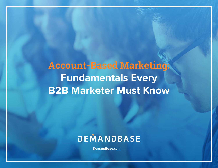# **Account-Based Marketing: Fundamentals Every B2B Marketer Must Know**

# DEMANDBASE

**[Demandbase.com](https://www.demandbase.com/)**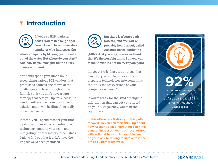## **Introduction**



**If you're a B2B marketer today, you're in a tough spot. You'd love to be an innovative marketer who impresses the whole company by blowing your results out of the water. But where do you start? And how do you navigate all the buzzy claims out there?** 

You could spend your lunch hour researching various B2B vendors that promise to address one or two of the challenges you face throughout the funnel. But if you don't have a core strategy that sets you up for success, no vendor will ever be more than a point solution and it will be difficult to really move the needle.

Instead, you'll spend most of your time dealing with buy-in, on-boarding the technology, training your team and integrating the tool into your tech stack. Only to find out that it didn't have the impact you'd been promised.



**But there is a better path forward, and one you've probably heard about, called Account-Based Marketing** 

**(ABM). And you may have even heard that it's the next big thing. But you want to make sure it's not the next pain point.**

In fact, ABM is that core strategy that can help you pull together all those disparate technologies into something that truly makes everyone at your company say "wow."

If you're ready for the kind of tangible information that can get you started on your ABM journey, you're in the right place.

**In this eBook, we'll show you this path forward, so you can start thinking about how Account-Based Marketing can have a major impact on your business. Armed with actionable insights, you'll be well on your way to driving results across the entire customer lifecycle.**

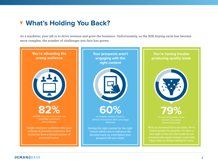## **What's Holding You Back?**

**As a marketer, your job is to drive revenue and grow the business. Unfortunately, as the B2B buying cycle has become more complex, the number of challenges you face has grown.** 

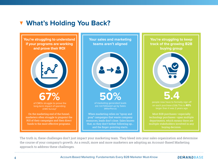# **What's Holding You Back?**

**You're struggling to understand if your programs are working and prove their ROI Your sales and marketing teams aren't aligned**  of CMOs struggle to prove the **67%** long-term impact of spending (CMO Survey)\* of marketing generated leads **50%** are not followed up by Sales (MillerPierce) On the marketing end of the funnel, marketers often struggle to pinpoint the ROI of their campaigns and then direct funds to the most effective programs. When marketing relies on "spray and pray" campaigns that waste company resources, leads don't close. Sales knows that, so they don't bother following up… and the finger-pointing starts.

**You're struggling to keep track of the growing B2B buying group 5.4**  on each purchase (CEB) This is **40%** Most B2B purchases—especially technology purchases—span multiple departments, which means there are multiple stakeholders involved in any buying decision.

The truth is, these challenges don't just impact your marketing team. They bleed into your sales organization and determine the course of your company's growth. As a result, more and more marketers are adopting an Account-Based Marketing approach to address these challenges.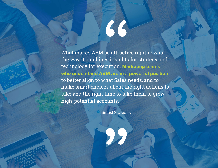What makes ABM so attractive right now is the way it combines insights for strategy and technology for execution. **Marketing teams who understand ABM are in a powerful position**  to better align to what Sales needs, and to make smart choices about the right actions to take and the right time to take them to grow high-potential accounts.

66

**SiriusDecisions**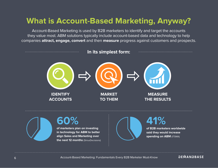# **What is Account-Based Marketing, Anyway?**

Account-Based Marketing is used by B2B marketers to identify and target the accounts they value most. ABM solutions typically include account-based data and technology to help companies **attract, engage, convert** and then **measure** progress against customers and prospects.

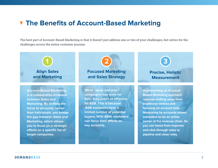### **The Benefits of Account-Based Marketing**

**The best part of Account-Based Marketing is that it doesn't just address one or two of your challenges, but solves for the challenges across the entire customer journey.** 

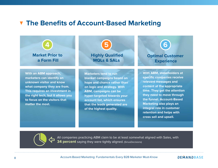### **The Benefits of Account-Based Marketing**





All companies practicing ABM claim to be at least somewhat aligned with Sales, with **34 percent** saying they were tightly aligned. (SiriusDecisions)

8 Account-Based Marketing: Fundamentals Every B2B Marketer Must-Know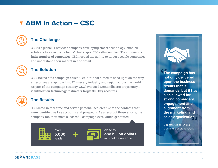# **ABM In Action – CSC**



### **The Challenge**

CSC is a global IT services company developing smart, technology-enabled solutions to solve their clients' challenges. **CSC sells complex IT solutions to a finite number of companies.** CSC needed the ability to target specific companies and understand their market in fine detail.



### **The Solution**

CSC kicked off a campaign called "Let It In" that aimed to shed light on the way enterprises are approaching IT in every industry and region across the world. As part of the campaign strategy, C**SC** leveraged Demandbase's proprietary IP **identification technology to directly target 300 key accounts.** 



### **The Results**

CSC acted in real-time and served personalized creative to the contacts that were identified as key accounts and prospects. As a result of those efforts, the company ran their most successful campaign ever, which generated**:**



leads

close to **one billion dollars**<br>in pipeline revenue **The campaign has not only delivered upon the business results that it demands, but it has also allowed for strong comradery, engagement and alignment from the marketing and sales organization.**

Director, Global Digital Demand Generation, CSC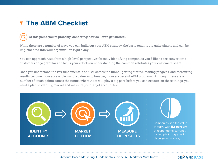# **The ABM Checklist**

#### **At this point, you're probably wondering: how do I even get started?**  ?

While there are a number of ways you can build out your ABM strategy, the basic tenants are quite simple and can be implemented into your organization right away.

You can approach ABM from a high-level perspective—broadly identifying companies you'd like to see convert into customers or go granular and focus your efforts on understanding the common attributes your customers share.

Once you understand the key fundamentals of ABM across the funnel, getting started, making progress, and measuring results become more accessible —and a gateway to broader, more successful ABM programs. Although there are a number of touch points across the funnel where ABM will play a big part, before you can execute on these things, you need a plan to identify, market and measure your target account list.

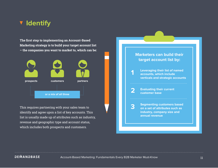### **Identify**

**The first step to implementing an Account-Based Marketing strategy is to build your target account list – the companies you want to market to, which can be:** 



This requires partnering with your sales team to identify and agree upon a list of key accounts. This list is usually made up of attributes such as industry, revenue and geographic type and account status, which includes both prospects and customers.



#### **DEMANDBASE**

#### Account-Based Marketing: Fundamentals Every B2B Marketer Must-Know 1111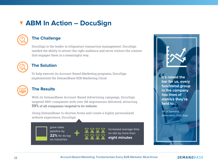# **ABM In Action – DocuSign**



### **The Challenge**

DocuSign is the leader in eSignature transaction management. DocuSign needed the ability to attract the right audience and serve visitors the content that engages them in a meaningful way.



### **The Solution**

To help execute its Account-Based Marketing programs, DocuSign implemented the Demandbase B2B Marketing Cloud.



### **The Results**

With its Demandbase Account-Based Advertising campaign, DocuSign targeted 450+ companies with over 1M impressions delivered, attracting **59% of all companies targeted to its website.**

Using Demandbase to shorten forms and create a highly personalized website experience, DocuSign:

**+**

grew sales pipeline by **22%** for its top six industries



increased average time on site by more than **eight minutes**

**It's raised the bar for us, every functional group in the company has lines of metrics they're held to.**

VP of Demand Generation, DocuSign

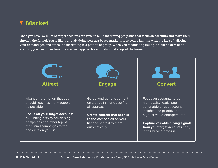

Once you have your list of target accounts, **it's time to build marketing programs that focus on accounts and move them through the funnel.** You're likely already doing persona-based marketing, so you're familiar with the idea of tailoring your demand gen and outbound marketing to a particular group. When you're targeting multiple stakeholders at an account, you need to rethink the way you approach each individual stage of the funnel.

| <b>Attract</b>                                                                                                                                               | <b>Engage</b>                                                                                                      | <b>Convert</b>                                                                                                                  |
|--------------------------------------------------------------------------------------------------------------------------------------------------------------|--------------------------------------------------------------------------------------------------------------------|---------------------------------------------------------------------------------------------------------------------------------|
| Abandon the notion that you<br>should reach as many people<br>as possible                                                                                    | Go beyond generic content<br>on a page in a one size fits<br>all approach                                          | Focus on accounts to get<br>high quality leads, see<br>actionable target account<br>insights and prioritize the                 |
| <b>Focus on your target accounts</b><br>by running display advertising<br>campaigns and other top of<br>the funnel campaigns to the<br>accounts on your list | <b>Create content that speaks</b><br>to the companies on your<br><b>list</b> and serve it to them<br>automatically | highest value engagements<br><b>Capture valuable buying signals</b><br>from your target accounts early<br>in the buying process |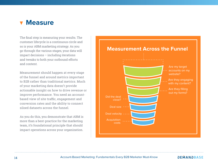### **Measure**

The final step is measuring your results. The customer lifecycle is a continuous circle and so is your ABM marketing strategy. As you go through the various stages, your data will impact decisions – including iterations and tweaks to both your outbound efforts and content.

Measurement should happen at every stage of the funnel and around metrics important to B2B rather than traditional metrics. Much of your marketing data doesn't provide actionable insight on how to drive revenue or improve performance. You need an accountbased view of site traffic, engagement and conversion rates and the ability to connect siloed datasets across the funnel.

As you do this, you demonstrate that ABM is more than a best-practice for the marketing team, it's foundational principle that should impact operations across your organization.



14 Account-Based Marketing: Fundamentals Every B2B Marketer Must-Know